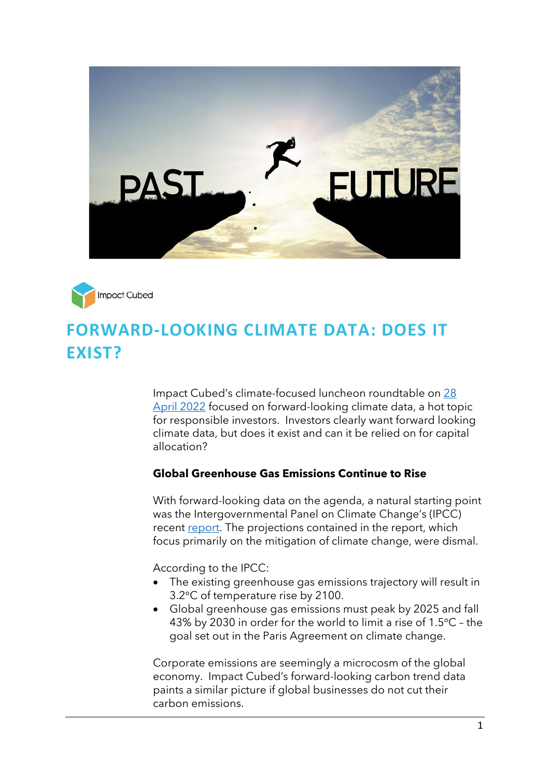



# **FORWARD-LOOKING CLIMATE DATA: DOES IT EXIST?**

Impact Cubed's climate-focused luncheon roundtable on [28](https://www.linkedin.com/events/climateroundtableluncheonevent6920408874671849472/)  [April](https://www.linkedin.com/events/climateroundtableluncheonevent6920408874671849472/) 2022 focused on forward-looking climate data, a hot topic for responsible investors. Investors clearly want forward looking climate data, but does it exist and can it be relied on for capital allocation?

### **Global Greenhouse Gas Emissions Continue to Rise**

With forward-looking data on the agenda, a natural starting point was the Intergovernmental Panel on Climate Change's (IPCC) recent [report.](https://report.ipcc.ch/ar6wg3/pdf/IPCC_AR6_WGIII_FinalDraft_FullReport.pdf?utm_campaign=MWAM&utm_medium=email&_hsmi=209329561&_hsenc=p2ANqtz-_KV1FdjjLqSM1x2mzJMgkWIb5iGvk2o6iLhzX4mDSsvb1ySCEinvLjUkNNVO7UFn-gQqoU6LB5vT56X8Rgv2QQIpaCCttKKBl8cUMK_RAuRL1PLWg&utm_content=209329561&utm_source=hs_email) The projections contained in the report, which focus primarily on the mitigation of climate change, were dismal.

According to the IPCC:

- The existing greenhouse gas emissions trajectory will result in 3.2°C of temperature rise by 2100.
- Global greenhouse gas emissions must peak by 2025 and fall 43% by 2030 in order for the world to limit a rise of 1.5°C – the goal set out in the Paris Agreement on climate change.

Corporate emissions are seemingly a microcosm of the global economy. Impact Cubed's forward-looking carbon trend data paints a similar picture if global businesses do not cut their carbon emissions.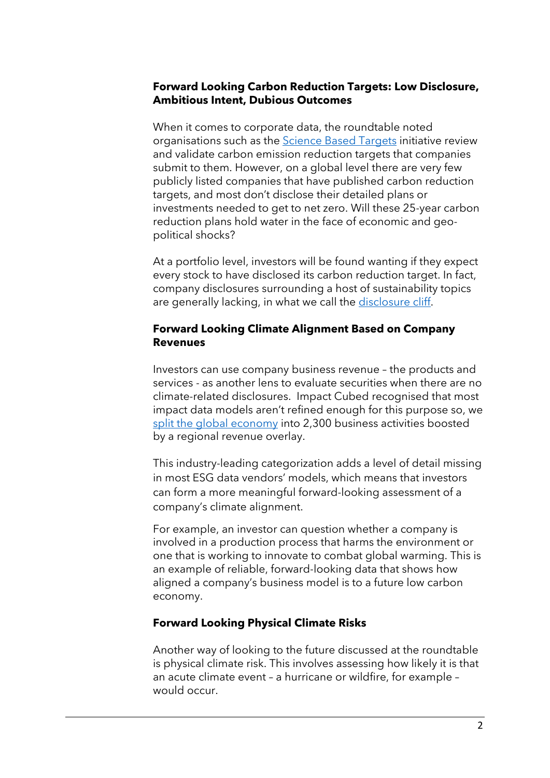### **Forward Looking Carbon Reduction Targets: Low Disclosure, Ambitious Intent, Dubious Outcomes**

When it comes to corporate data, the roundtable noted organisations such as the [Science Based Targets](https://sciencebasedtargets.org/about-us) initiative review and validate carbon emission reduction targets that companies submit to them. However, on a global level there are very few publicly listed companies that have published carbon reduction targets, and most don't disclose their detailed plans or investments needed to get to net zero. Will these 25-year carbon reduction plans hold water in the face of economic and geopolitical shocks?

At a portfolio level, investors will be found wanting if they expect every stock to have disclosed its carbon reduction target. In fact, company disclosures surrounding a host of sustainability topics are generally lacking, in what we call the [disclosure cliff.](https://www.impact-cubed.com/publication?file=Is%20ESG%20Data%20a%20Commodity%20_Impact%20Cubed%20Short%20Read_1%20Feb%202022.pdf)

#### **Forward Looking Climate Alignment Based on Company Revenues**

Investors can use company business revenue – the products and services - as another lens to evaluate securities when there are no climate-related disclosures. Impact Cubed recognised that most impact data models aren't refined enough for this purpose so, we split the [global economy](https://www.impact-cubed.com/publication?file=Why%20does%20a%20better%20impact%20model%20matter%20for%20carbon_Impact%20Cubed%20short%20read_18April%202022.pdf) into 2,300 business activities boosted by a regional revenue overlay.

This industry-leading categorization adds a level of detail missing in most ESG data vendors' models, which means that investors can form a more meaningful forward-looking assessment of a company's climate alignment.

For example, an investor can question whether a company is involved in a production process that harms the environment or one that is working to innovate to combat global warming. This is an example of reliable, forward-looking data that shows how aligned a company's business model is to a future low carbon economy.

#### **Forward Looking Physical Climate Risks**

Another way of looking to the future discussed at the roundtable is physical climate risk. This involves assessing how likely it is that an acute climate event – a hurricane or wildfire, for example – would occur.